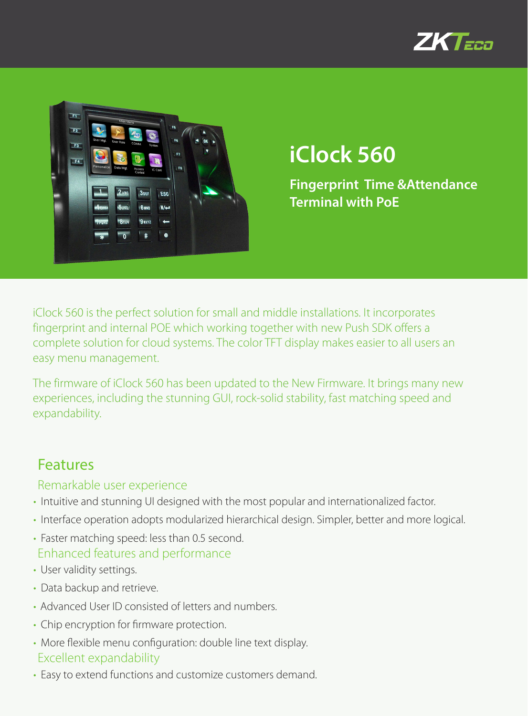



# **iClock 560**

**Fingerprint Time &Attendance Terminal with PoE**

iClock 560 is the perfect solution for small and middle installations. It incorporates fingerprint and internal POE which working together with new Push SDK offers a complete solution for cloud systems. The color TFT display makes easier to all users an easy menu management.

The firmware of iClock 560 has been updated to the New Firmware. It brings many new experiences, including the stunning GUI, rock-solid stability, fast matching speed and expandability.

#### Features

#### Remarkable user experience

- Intuitive and stunning UI designed with the most popular and internationalized factor.
- Interface operation adopts modularized hierarchical design. Simpler, better and more logical.
- Faster matching speed: less than 0.5 second. Enhanced features and performance
- User validity settings.
- Data backup and retrieve.
- Advanced User ID consisted of letters and numbers.
- Chip encryption for firmware protection.
- More flexible menu configuration: double line text display. Excellent expandability
- Easy to extend functions and customize customers demand.